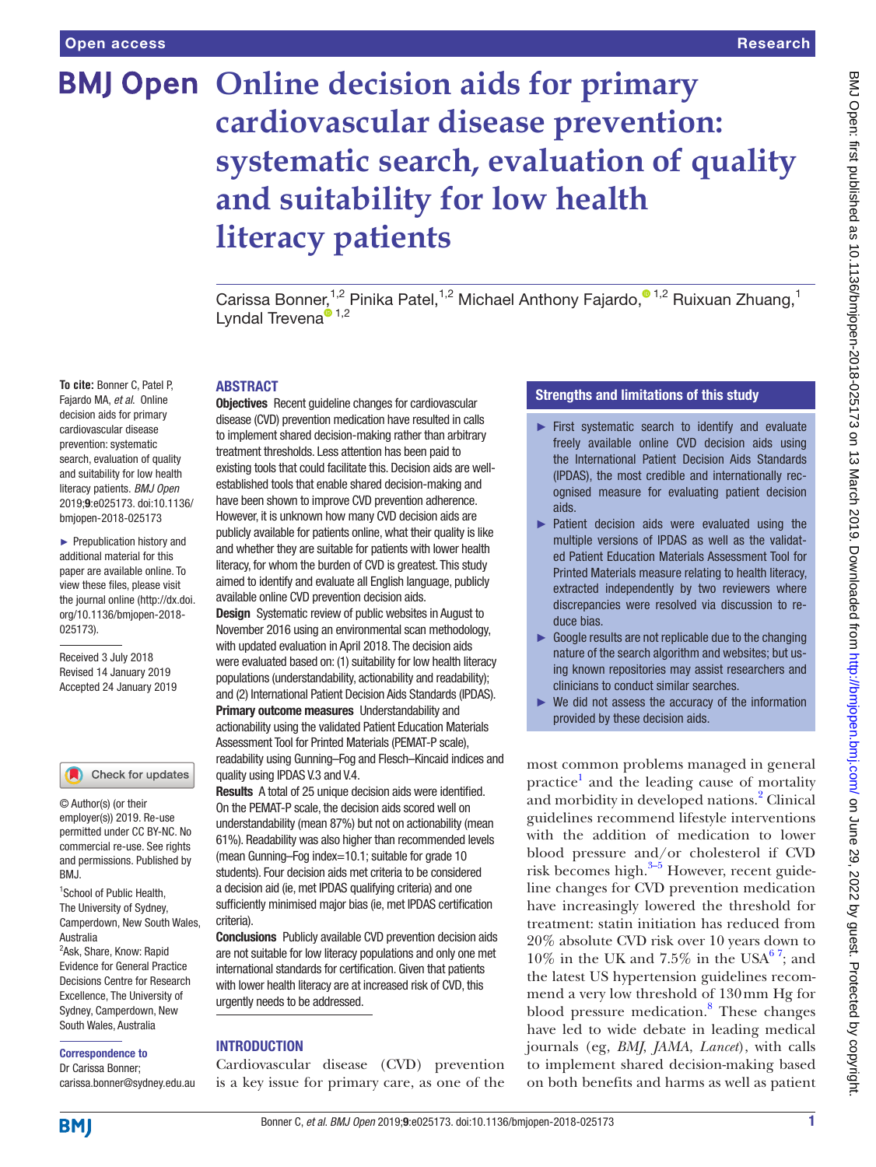# **BMJ Open Online decision aids for primary cardiovascular disease prevention: systematic search, evaluation of quality and suitability for low health literacy patients**

Carissa Bonner,<sup>1,2</sup> Pinika Patel,<sup>1,2</sup> Michael Anthony Fajardo,<sup>01,2</sup> Ruixuan Zhuang,<sup>1</sup> Lynd[a](http://orcid.org/0000-0003-1419-1832)l Trevena<sup> $61,2$ </sup>

#### **ABSTRACT**

**To cite:** Bonner C, Patel P, Fajardo MA, *et al*. Online decision aids for primary cardiovascular disease prevention: systematic search, evaluation of quality and suitability for low health literacy patients. *BMJ Open* 2019;9:e025173. doi:10.1136/ bmjopen-2018-025173

► Prepublication history and additional material for this paper are available online. To view these files, please visit the journal online [\(http://dx.doi.](http://dx.doi.org/10.1136/bmjopen-2018-025173) [org/10.1136/bmjopen-2018-](http://dx.doi.org/10.1136/bmjopen-2018-025173) [025173\)](http://dx.doi.org/10.1136/bmjopen-2018-025173).

Received 3 July 2018 Revised 14 January 2019 Accepted 24 January 2019



© Author(s) (or their employer(s)) 2019. Re-use permitted under CC BY-NC. No commercial re-use. See rights and permissions. Published by RM<sub>J</sub>

<sup>1</sup>School of Public Health, The University of Sydney, Camperdown, New South Wales, Australia

<sup>2</sup>Ask, Share, Know: Rapid Evidence for General Practice Decisions Centre for Research Excellence, The University of Sydney, Camperdown, New South Wales, Australia

#### Correspondence to

Dr Carissa Bonner; carissa.bonner@sydney.edu.au **Objectives** Recent quideline changes for cardiovascular disease (CVD) prevention medication have resulted in calls to implement shared decision-making rather than arbitrary treatment thresholds. Less attention has been paid to existing tools that could facilitate this. Decision aids are wellestablished tools that enable shared decision-making and have been shown to improve CVD prevention adherence. However, it is unknown how many CVD decision aids are publicly available for patients online, what their quality is like and whether they are suitable for patients with lower health literacy, for whom the burden of CVD is greatest. This study aimed to identify and evaluate all English language, publicly available online CVD prevention decision aids.

**Design** Systematic review of public websites in August to November 2016 using an environmental scan methodology, with updated evaluation in April 2018. The decision aids were evaluated based on: (1) suitability for low health literacy populations (understandability, actionability and readability); and (2) International Patient Decision Aids Standards (IPDAS). **Primary outcome measures** Understandability and actionability using the validated Patient Education Materials Assessment Tool for Printed Materials (PEMAT-P scale), readability using Gunning–Fog and Flesch–Kincaid indices and quality using IPDAS V.3 and V.4.

Results A total of 25 unique decision aids were identified. On the PEMAT-P scale, the decision aids scored well on understandability (mean 87%) but not on actionability (mean 61%). Readability was also higher than recommended levels (mean Gunning–Fog index=10.1; suitable for grade 10 students). Four decision aids met criteria to be considered a decision aid (ie, met IPDAS qualifying criteria) and one sufficiently minimised major bias (ie, met IPDAS certification criteria).

Conclusions Publicly available CVD prevention decision aids are not suitable for low literacy populations and only one met international standards for certification. Given that patients with lower health literacy are at increased risk of CVD, this urgently needs to be addressed.

#### **INTRODUCTION**

Cardiovascular disease (CVD) prevention is a key issue for primary care, as one of the

#### Strengths and limitations of this study

- ► First systematic search to identify and evaluate freely available online CVD decision aids using the International Patient Decision Aids Standards (IPDAS), the most credible and internationally recognised measure for evaluating patient decision aids.
- ► Patient decision aids were evaluated using the multiple versions of IPDAS as well as the validated Patient Education Materials Assessment Tool for Printed Materials measure relating to health literacy, extracted independently by two reviewers where discrepancies were resolved via discussion to reduce bias.
- $\blacktriangleright$  Google results are not replicable due to the changing nature of the search algorithm and websites; but using known repositories may assist researchers and clinicians to conduct similar searches.
- ► We did not assess the accuracy of the information provided by these decision aids.

most common problems managed in general practice<sup>1</sup> and the leading cause of mortality and morbidity in developed nations.<sup>[2](#page-6-1)</sup> Clinical guidelines recommend lifestyle interventions with the addition of medication to lower blood pressure and/or cholesterol if CVD risk becomes high. $3-5$  However, recent guideline changes for CVD prevention medication have increasingly lowered the threshold for treatment: statin initiation has reduced from 20% absolute CVD risk over 10 years down to  $10\%$  in the UK and 7.5% in the USA<sup>67</sup>; and the latest US hypertension guidelines recommend a very low threshold of 130mm Hg for blood pressure medication.<sup>8</sup> These changes have led to wide debate in leading medical journals (eg, *BMJ*, *JAMA*, *Lancet*), with calls to implement shared decision-making based on both benefits and harms as well as patient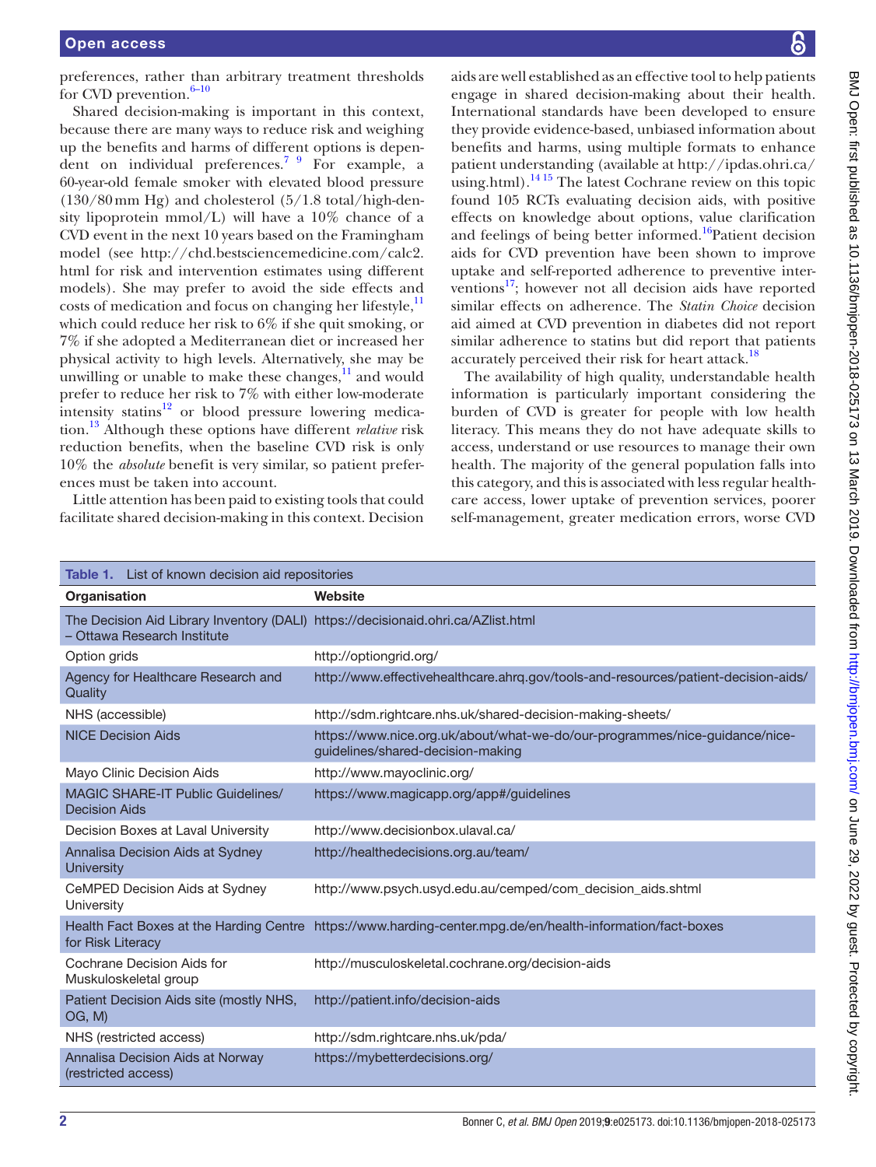preferences, rather than arbitrary treatment thresholds for CVD prevention. $6-10$ 

Shared decision-making is important in this context, because there are many ways to reduce risk and weighing up the benefits and harms of different options is dependent on individual preferences.[7 9](#page-6-5) For example, a 60-year-old female smoker with elevated blood pressure (130/80mm Hg) and cholesterol (5/1.8 total/high-density lipoprotein mmol/L) will have a 10% chance of a CVD event in the next 10 years based on the Framingham model (see [http://chd.bestsciencemedicine.com/calc2.](http://chd.bestsciencemedicine.com/calc2.html) [html](http://chd.bestsciencemedicine.com/calc2.html) for risk and intervention estimates using different models). She may prefer to avoid the side effects and costs of medication and focus on changing her lifestyle, $^{11}$  $^{11}$  $^{11}$ which could reduce her risk to 6% if she quit smoking, or 7% if she adopted a Mediterranean diet or increased her physical activity to high levels. Alternatively, she may be unwilling or unable to make these changes, $\frac{11}{11}$  and would prefer to reduce her risk to 7% with either low-moderate  $intensity$  statins<sup>12</sup> or blood pressure lowering medication.[13](#page-7-2) Although these options have different *relative* risk reduction benefits, when the baseline CVD risk is only 10% the *absolute* benefit is very similar, so patient preferences must be taken into account.

Little attention has been paid to existing tools that could facilitate shared decision-making in this context. Decision

aids are well established as an effective tool to help patients engage in shared decision-making about their health. International standards have been developed to ensure they provide evidence-based, unbiased information about benefits and harms, using multiple formats to enhance patient understanding (available at [http://ipdas.ohri.ca/](http://ipdas.ohri.ca/using.html) [using.html](http://ipdas.ohri.ca/using.html)). $^{14\,15}$  The latest Cochrane review on this topic found 105 RCTs evaluating decision aids, with positive effects on knowledge about options, value clarification and feelings of being better informed.<sup>16</sup>Patient decision aids for CVD prevention have been shown to improve uptake and self-reported adherence to preventive interventions $^{17}$ ; however not all decision aids have reported similar effects on adherence. The *Statin Choice* decision aid aimed at CVD prevention in diabetes did not report similar adherence to statins but did report that patients accurately perceived their risk for heart attack.<sup>18</sup>

The availability of high quality, understandable health information is particularly important considering the burden of CVD is greater for people with low health literacy. This means they do not have adequate skills to access, understand or use resources to manage their own health. The majority of the general population falls into this category, and this is associated with less regular healthcare access, lower uptake of prevention services, poorer self-management, greater medication errors, worse CVD

<span id="page-1-0"></span>

| <b>Table 1.</b> List of known decision aid repositories                                                          |                                                                                                                  |  |  |  |  |  |
|------------------------------------------------------------------------------------------------------------------|------------------------------------------------------------------------------------------------------------------|--|--|--|--|--|
| Organisation                                                                                                     | Website                                                                                                          |  |  |  |  |  |
| The Decision Aid Library Inventory (DALI) https://decisionaid.ohri.ca/AZlist.html<br>- Ottawa Research Institute |                                                                                                                  |  |  |  |  |  |
| Option grids                                                                                                     | http://optiongrid.org/                                                                                           |  |  |  |  |  |
| Agency for Healthcare Research and<br>Quality                                                                    | http://www.effectivehealthcare.ahrq.gov/tools-and-resources/patient-decision-aids/                               |  |  |  |  |  |
| NHS (accessible)                                                                                                 | http://sdm.rightcare.nhs.uk/shared-decision-making-sheets/                                                       |  |  |  |  |  |
| <b>NICE Decision Aids</b>                                                                                        | https://www.nice.org.uk/about/what-we-do/our-programmes/nice-guidance/nice-<br>guidelines/shared-decision-making |  |  |  |  |  |
| Mayo Clinic Decision Aids                                                                                        | http://www.mayoclinic.org/                                                                                       |  |  |  |  |  |
| <b>MAGIC SHARE-IT Public Guidelines/</b><br><b>Decision Aids</b>                                                 | https://www.magicapp.org/app#/guidelines                                                                         |  |  |  |  |  |
| Decision Boxes at Laval University                                                                               | http://www.decisionbox.ulaval.ca/                                                                                |  |  |  |  |  |
| Annalisa Decision Aids at Sydney<br><b>University</b>                                                            | http://healthedecisions.org.au/team/                                                                             |  |  |  |  |  |
| CeMPED Decision Aids at Sydney<br>University                                                                     | http://www.psych.usyd.edu.au/cemped/com_decision_aids.shtml                                                      |  |  |  |  |  |
| for Risk Literacy                                                                                                | Health Fact Boxes at the Harding Centre https://www.harding-center.mpg.de/en/health-information/fact-boxes       |  |  |  |  |  |
| Cochrane Decision Aids for<br>Muskuloskeletal group                                                              | http://musculoskeletal.cochrane.org/decision-aids                                                                |  |  |  |  |  |
| Patient Decision Aids site (mostly NHS,<br>OG, M)                                                                | http://patient.info/decision-aids                                                                                |  |  |  |  |  |
| NHS (restricted access)                                                                                          | http://sdm.rightcare.nhs.uk/pda/                                                                                 |  |  |  |  |  |
| Annalisa Decision Aids at Norway<br>(restricted access)                                                          | https://mybetterdecisions.org/                                                                                   |  |  |  |  |  |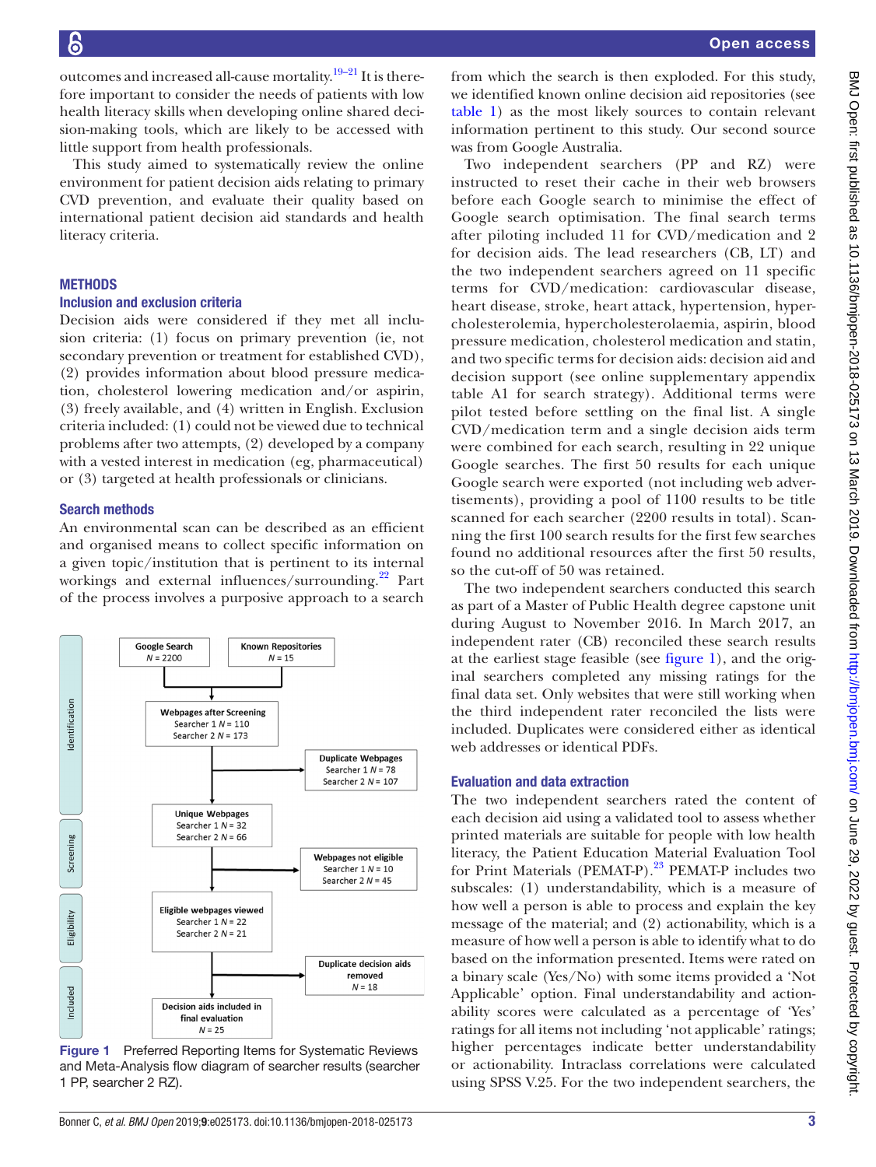Open access

health literacy skills when developing online shared decision-making tools, which are likely to be accessed with little support from health professionals. This study aimed to systematically review the online environment for patient decision aids relating to primary CVD prevention, and evaluate their quality based on international patient decision aid standards and health literacy criteria. **METHODS** Inclusion and exclusion criteria Decision aids were considered if they met all inclusion criteria: (1) focus on primary prevention (ie, not secondary prevention or treatment for established CVD), (2) provides information about blood pressure medication, cholesterol lowering medication and/or aspirin, (3) freely available, and (4) written in English. Exclusion criteria included: (1) could not be viewed due to technical problems after two attempts, (2) developed by a company with a vested interest in medication (eg, pharmaceutical)

outcomes and increased all-cause mortality.<sup>19-21</sup> It is therefore important to consider the needs of patients with low

or (3) targeted at health professionals or clinicians.

# Search methods

An environmental scan can be described as an efficient and organised means to collect specific information on a given topic/institution that is pertinent to its internal workings and external influences/surrounding.<sup>22</sup> Part of the process involves a purposive approach to a search



<span id="page-2-0"></span>Figure 1 Preferred Reporting Items for Systematic Reviews and Meta-Analysis flow diagram of searcher results (searcher 1 PP, searcher 2 RZ).

from which the search is then exploded. For this study, we identified known online decision aid repositories (see [table](#page-1-0) 1) as the most likely sources to contain relevant information pertinent to this study. Our second source was from Google Australia.

Two independent searchers (PP and RZ) were instructed to reset their cache in their web browsers before each Google search to minimise the effect of Google search optimisation. The final search terms after piloting included 11 for CVD/medication and 2 for decision aids. The lead researchers (CB, LT) and the two independent searchers agreed on 11 specific terms for CVD/medication: cardiovascular disease, heart disease, stroke, heart attack, hypertension, hypercholesterolemia, hypercholesterolaemia, aspirin, blood pressure medication, cholesterol medication and statin, and two specific terms for decision aids: decision aid and decision support (see online [supplementary appendix](https://dx.doi.org/10.1136/bmjopen-2018-025173)  [table A1](https://dx.doi.org/10.1136/bmjopen-2018-025173) for search strategy). Additional terms were pilot tested before settling on the final list. A single CVD/medication term and a single decision aids term were combined for each search, resulting in 22 unique Google searches. The first 50 results for each unique Google search were exported (not including web advertisements), providing a pool of 1100 results to be title scanned for each searcher (2200 results in total). Scanning the first 100 search results for the first few searches found no additional resources after the first 50 results, so the cut-off of 50 was retained.

The two independent searchers conducted this search as part of a Master of Public Health degree capstone unit during August to November 2016. In March 2017, an independent rater (CB) reconciled these search results at the earliest stage feasible (see [figure](#page-2-0) 1), and the original searchers completed any missing ratings for the final data set. Only websites that were still working when the third independent rater reconciled the lists were included. Duplicates were considered either as identical web addresses or identical PDFs.

# Evaluation and data extraction

The two independent searchers rated the content of each decision aid using a validated tool to assess whether printed materials are suitable for people with low health literacy, the Patient Education Material Evaluation Tool for Print Materials (PEMAT-P).<sup>[23](#page-7-9)</sup> PEMAT-P includes two subscales: (1) understandability, which is a measure of how well a person is able to process and explain the key message of the material; and (2) actionability, which is a measure of how well a person is able to identify what to do based on the information presented. Items were rated on a binary scale (Yes/No) with some items provided a 'Not Applicable' option. Final understandability and actionability scores were calculated as a percentage of 'Yes' ratings for all items not including 'not applicable' ratings; higher percentages indicate better understandability or actionability. Intraclass correlations were calculated using SPSS V.25. For the two independent searchers, the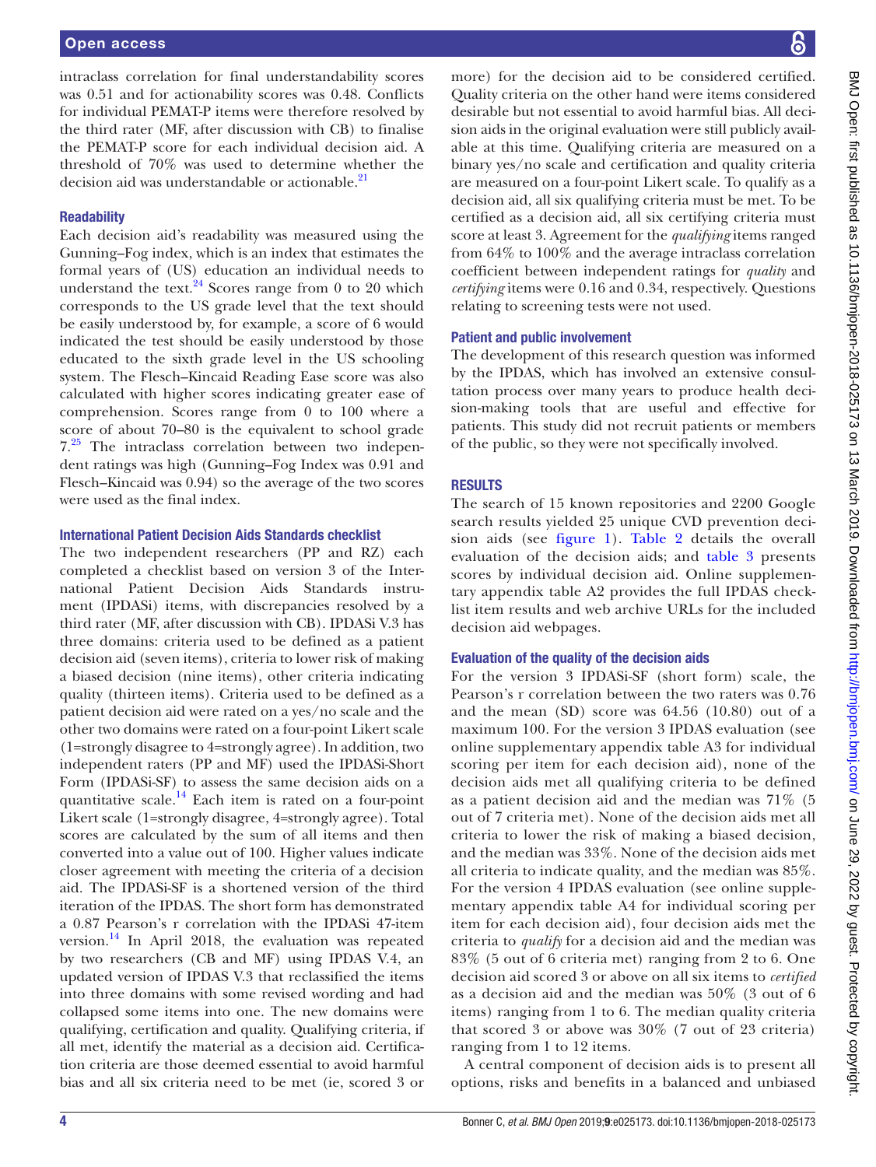intraclass correlation for final understandability scores was 0.51 and for actionability scores was 0.48. Conflicts for individual PEMAT-P items were therefore resolved by the third rater (MF, after discussion with CB) to finalise the PEMAT-P score for each individual decision aid. A threshold of 70% was used to determine whether the decision aid was understandable or actionable.<sup>21</sup>

#### **Readability**

Each decision aid's readability was measured using the Gunning–Fog index, which is an index that estimates the formal years of (US) education an individual needs to understand the text.<sup>24</sup> Scores range from 0 to 20 which corresponds to the US grade level that the text should be easily understood by, for example, a score of 6 would indicated the test should be easily understood by those educated to the sixth grade level in the US schooling system. The Flesch–Kincaid Reading Ease score was also calculated with higher scores indicating greater ease of comprehension. Scores range from 0 to 100 where a score of about 70–80 is the equivalent to school grade 7.[25](#page-7-12) The intraclass correlation between two independent ratings was high (Gunning–Fog Index was 0.91 and Flesch–Kincaid was 0.94) so the average of the two scores were used as the final index.

#### International Patient Decision Aids Standards checklist

The two independent researchers (PP and RZ) each completed a checklist based on version 3 of the International Patient Decision Aids Standards instrument (IPDASi) items, with discrepancies resolved by a third rater (MF, after discussion with CB). IPDASi V.3 has three domains: criteria used to be defined as a patient decision aid (seven items), criteria to lower risk of making a biased decision (nine items), other criteria indicating quality (thirteen items). Criteria used to be defined as a patient decision aid were rated on a yes/no scale and the other two domains were rated on a four-point Likert scale (1=strongly disagree to 4=strongly agree). In addition, two independent raters (PP and MF) used the IPDASi-Short Form (IPDASi-SF) to assess the same decision aids on a quantitative scale.<sup>14</sup> Each item is rated on a four-point Likert scale (1=strongly disagree, 4=strongly agree). Total scores are calculated by the sum of all items and then converted into a value out of 100. Higher values indicate closer agreement with meeting the criteria of a decision aid. The IPDASi-SF is a shortened version of the third iteration of the IPDAS. The short form has demonstrated a 0.87 Pearson's r correlation with the IPDASi 47-item version.[14](#page-7-3) In April 2018, the evaluation was repeated by two researchers (CB and MF) using IPDAS V.4, an updated version of IPDAS V.3 that reclassified the items into three domains with some revised wording and had collapsed some items into one. The new domains were qualifying, certification and quality. Qualifying criteria, if all met, identify the material as a decision aid. Certification criteria are those deemed essential to avoid harmful bias and all six criteria need to be met (ie, scored 3 or

more) for the decision aid to be considered certified. Quality criteria on the other hand were items considered desirable but not essential to avoid harmful bias. All decision aids in the original evaluation were still publicly available at this time. Qualifying criteria are measured on a binary yes/no scale and certification and quality criteria are measured on a four-point Likert scale. To qualify as a decision aid, all six qualifying criteria must be met. To be certified as a decision aid, all six certifying criteria must score at least 3. Agreement for the *qualifying* items ranged from 64% to 100% and the average intraclass correlation coefficient between independent ratings for *quality* and *certifying* items were 0.16 and 0.34, respectively. Questions relating to screening tests were not used.

#### Patient and public involvement

The development of this research question was informed by the IPDAS, which has involved an extensive consultation process over many years to produce health decision-making tools that are useful and effective for patients. This study did not recruit patients or members of the public, so they were not specifically involved.

# **RESULTS**

The search of 15 known repositories and 2200 Google search results yielded 25 unique CVD prevention decision aids (see [figure](#page-2-0) 1). [Table](#page-4-0) 2 details the overall evaluation of the decision aids; and [table](#page-5-0) 3 presents scores by individual decision aid. Online [supplemen](https://dx.doi.org/10.1136/bmjopen-2018-025173)[tary appendix table A2](https://dx.doi.org/10.1136/bmjopen-2018-025173) provides the full IPDAS checklist item results and web archive URLs for the included decision aid webpages.

# Evaluation of the quality of the decision aids

For the version 3 IPDASi-SF (short form) scale, the Pearson's r correlation between the two raters was 0.76 and the mean (SD) score was 64.56 (10.80) out of a maximum 100. For the version 3 IPDAS evaluation (see online [supplementary appendix table A3](https://dx.doi.org/10.1136/bmjopen-2018-025173) for individual scoring per item for each decision aid), none of the decision aids met all qualifying criteria to be defined as a patient decision aid and the median was 71% (5 out of 7 criteria met). None of the decision aids met all criteria to lower the risk of making a biased decision, and the median was 33%. None of the decision aids met all criteria to indicate quality, and the median was 85%. For the version 4 IPDAS evaluation (see online [supple](https://dx.doi.org/10.1136/bmjopen-2018-025173)[mentary appendix table A4](https://dx.doi.org/10.1136/bmjopen-2018-025173) for individual scoring per item for each decision aid), four decision aids met the criteria to *qualify* for a decision aid and the median was 83% (5 out of 6 criteria met) ranging from 2 to 6. One decision aid scored 3 or above on all six items to *certified* as a decision aid and the median was 50% (3 out of 6 items) ranging from 1 to 6. The median quality criteria that scored 3 or above was 30% (7 out of 23 criteria) ranging from 1 to 12 items.

A central component of decision aids is to present all options, risks and benefits in a balanced and unbiased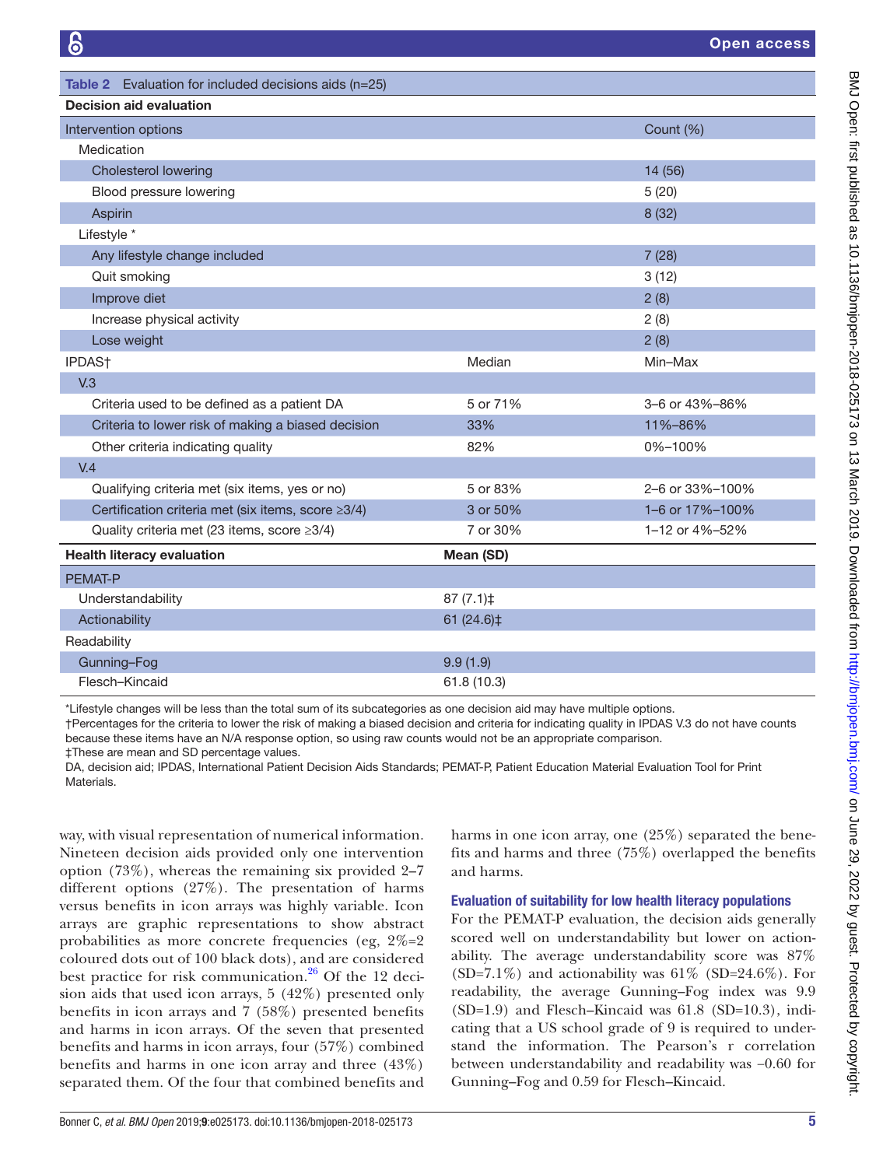<span id="page-4-0"></span>

| <b>Table 2</b> Evaluation for included decisions aids (n=25) |                          |                 |  |  |  |  |  |  |  |
|--------------------------------------------------------------|--------------------------|-----------------|--|--|--|--|--|--|--|
| <b>Decision aid evaluation</b>                               |                          |                 |  |  |  |  |  |  |  |
| Intervention options                                         |                          | Count (%)       |  |  |  |  |  |  |  |
| Medication                                                   |                          |                 |  |  |  |  |  |  |  |
| <b>Cholesterol lowering</b>                                  |                          | 14 (56)         |  |  |  |  |  |  |  |
| Blood pressure lowering                                      |                          | 5(20)           |  |  |  |  |  |  |  |
| Aspirin                                                      | 8(32)                    |                 |  |  |  |  |  |  |  |
| Lifestyle *                                                  |                          |                 |  |  |  |  |  |  |  |
| Any lifestyle change included                                |                          | 7(28)           |  |  |  |  |  |  |  |
| Quit smoking                                                 | 3(12)                    |                 |  |  |  |  |  |  |  |
| Improve diet                                                 |                          | 2(8)            |  |  |  |  |  |  |  |
| Increase physical activity                                   |                          | 2(8)            |  |  |  |  |  |  |  |
| Lose weight                                                  |                          | 2(8)            |  |  |  |  |  |  |  |
| IPDAS <sup>+</sup>                                           | Median                   | Min-Max         |  |  |  |  |  |  |  |
| V <sub>0</sub> 3                                             |                          |                 |  |  |  |  |  |  |  |
| Criteria used to be defined as a patient DA                  | 5 or 71%                 | 3-6 or 43%-86%  |  |  |  |  |  |  |  |
| Criteria to lower risk of making a biased decision           | 33%                      | 11%-86%         |  |  |  |  |  |  |  |
| Other criteria indicating quality                            | 82%                      | 0%-100%         |  |  |  |  |  |  |  |
| V.4                                                          |                          |                 |  |  |  |  |  |  |  |
| Qualifying criteria met (six items, yes or no)               | 5 or 83%                 | 2-6 or 33%-100% |  |  |  |  |  |  |  |
| Certification criteria met (six items, score ≥3/4)           | 3 or 50%                 | 1-6 or 17%-100% |  |  |  |  |  |  |  |
| Quality criteria met (23 items, score $\geq 3/4$ )           | 7 or 30%                 | 1-12 or 4%-52%  |  |  |  |  |  |  |  |
| <b>Health literacy evaluation</b>                            | Mean (SD)                |                 |  |  |  |  |  |  |  |
| <b>PEMAT-P</b>                                               |                          |                 |  |  |  |  |  |  |  |
| Understandability                                            | 87(7.1)                  |                 |  |  |  |  |  |  |  |
| Actionability                                                | 61 $(24.6)$ <sup>±</sup> |                 |  |  |  |  |  |  |  |
| Readability                                                  |                          |                 |  |  |  |  |  |  |  |
| Gunning-Fog                                                  | 9.9(1.9)                 |                 |  |  |  |  |  |  |  |
| Flesch-Kincaid                                               | 61.8 (10.3)              |                 |  |  |  |  |  |  |  |

\*Lifestyle changes will be less than the total sum of its subcategories as one decision aid may have multiple options.

†Percentages for the criteria to lower the risk of making a biased decision and criteria for indicating quality in IPDAS V.3 do not have counts because these items have an N/A response option, so using raw counts would not be an appropriate comparison.

‡These are mean and SD percentage values.

DA, decision aid; IPDAS, International Patient Decision Aids Standards; PEMAT-P, Patient Education Material Evaluation Tool for Print Materials.

way, with visual representation of numerical information. Nineteen decision aids provided only one intervention option (73%), whereas the remaining six provided 2–7 different options (27%). The presentation of harms versus benefits in icon arrays was highly variable. Icon arrays are graphic representations to show abstract probabilities as more concrete frequencies (eg,  $2\% = 2$ ) coloured dots out of 100 black dots), and are considered best practice for risk communication. $26$  Of the 12 decision aids that used icon arrays, 5 (42%) presented only benefits in icon arrays and 7 (58%) presented benefits and harms in icon arrays. Of the seven that presented benefits and harms in icon arrays, four (57%) combined benefits and harms in one icon array and three (43%) separated them. Of the four that combined benefits and

harms in one icon array, one (25%) separated the benefits and harms and three (75%) overlapped the benefits and harms.

# Evaluation of suitability for low health literacy populations

For the PEMAT-P evaluation, the decision aids generally scored well on understandability but lower on actionability. The average understandability score was 87% (SD=7.1%) and actionability was  $61\%$  (SD=24.6%). For readability, the average Gunning–Fog index was 9.9 (SD=1.9) and Flesch–Kincaid was 61.8 (SD=10.3), indicating that a US school grade of 9 is required to understand the information. The Pearson's r correlation between understandability and readability was −0.60 for Gunning–Fog and 0.59 for Flesch–Kincaid.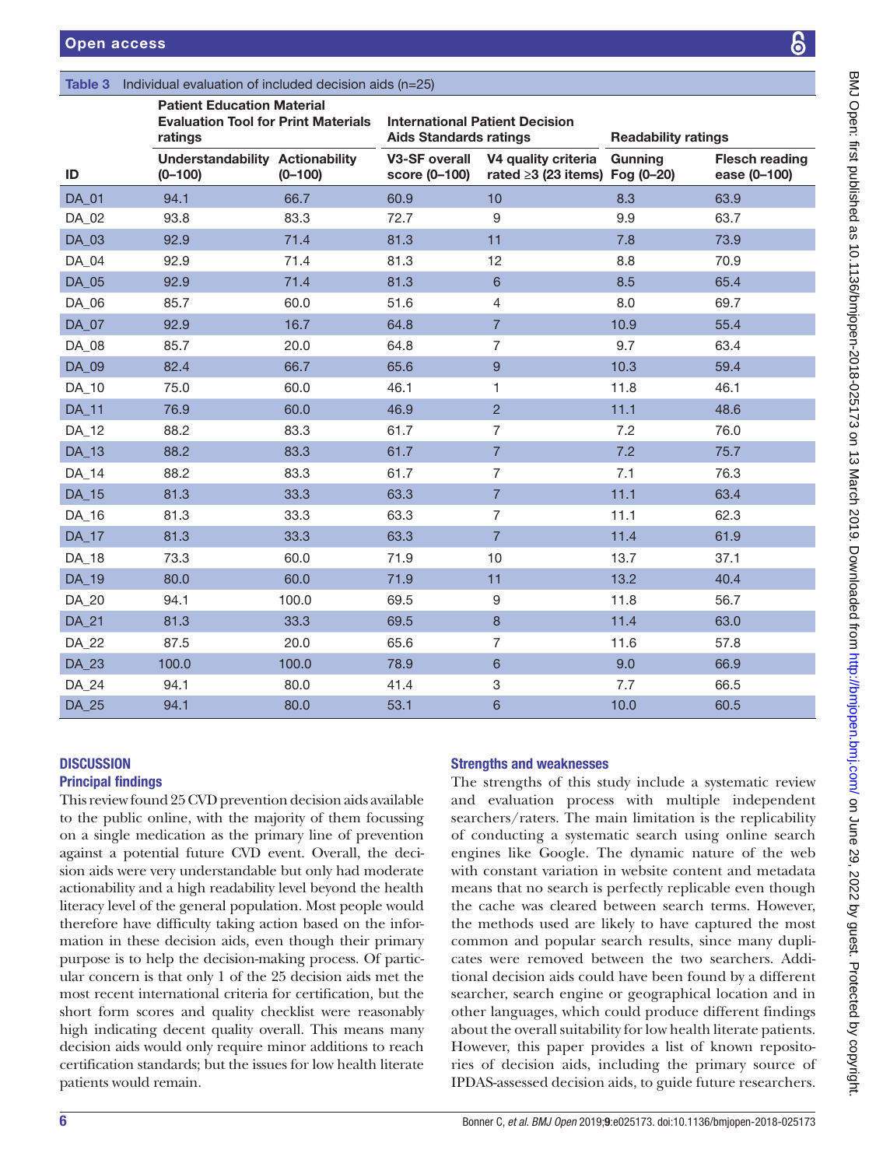# <span id="page-5-0"></span>Table 3 Individual evaluation of included decision aids (n=25)

|       | ratings                                               | <b>Patient Education Material</b><br><b>Evaluation Tool for Print Materials</b> |                                       | <b>International Patient Decision</b><br><b>Aids Standards ratings</b> |         | <b>Readability ratings</b>            |  |
|-------|-------------------------------------------------------|---------------------------------------------------------------------------------|---------------------------------------|------------------------------------------------------------------------|---------|---------------------------------------|--|
| ID    | <b>Understandability Actionability</b><br>$(0 - 100)$ | $(0 - 100)$                                                                     | <b>V3-SF overall</b><br>score (0-100) | V4 quality criteria<br>rated $\geq$ 3 (23 items) Fog (0-20)            | Gunning | <b>Flesch reading</b><br>ease (0-100) |  |
| DA_01 | 94.1                                                  | 66.7                                                                            | 60.9                                  | 10                                                                     | 8.3     | 63.9                                  |  |
| DA_02 | 93.8                                                  | 83.3                                                                            | 72.7                                  | 9                                                                      | 9.9     | 63.7                                  |  |
| DA_03 | 92.9                                                  | 71.4                                                                            | 81.3                                  | 11                                                                     | 7.8     | 73.9                                  |  |
| DA 04 | 92.9                                                  | 71.4                                                                            | 81.3                                  | 12                                                                     | 8.8     | 70.9                                  |  |
| DA_05 | 92.9                                                  | 71.4                                                                            | 81.3                                  | $6\phantom{1}$                                                         | 8.5     | 65.4                                  |  |
| DA_06 | 85.7                                                  | 60.0                                                                            | 51.6                                  | 4                                                                      | 8.0     | 69.7                                  |  |
| DA_07 | 92.9                                                  | 16.7                                                                            | 64.8                                  | $\overline{7}$                                                         | 10.9    | 55.4                                  |  |
| DA_08 | 85.7                                                  | 20.0                                                                            | 64.8                                  | 7                                                                      | 9.7     | 63.4                                  |  |
| DA_09 | 82.4                                                  | 66.7                                                                            | 65.6                                  | 9                                                                      | 10.3    | 59.4                                  |  |
| DA_10 | 75.0                                                  | 60.0                                                                            | 46.1                                  | $\mathbf{1}$                                                           | 11.8    | 46.1                                  |  |
| DA_11 | 76.9                                                  | 60.0                                                                            | 46.9                                  | $\overline{2}$                                                         | 11.1    | 48.6                                  |  |
| DA_12 | 88.2                                                  | 83.3                                                                            | 61.7                                  | 7                                                                      | 7.2     | 76.0                                  |  |
| DA_13 | 88.2                                                  | 83.3                                                                            | 61.7                                  | $\overline{7}$                                                         | 7.2     | 75.7                                  |  |
| DA_14 | 88.2                                                  | 83.3                                                                            | 61.7                                  | $\overline{7}$                                                         | 7.1     | 76.3                                  |  |
| DA_15 | 81.3                                                  | 33.3                                                                            | 63.3                                  | $\overline{7}$                                                         | 11.1    | 63.4                                  |  |
| DA_16 | 81.3                                                  | 33.3                                                                            | 63.3                                  | 7                                                                      | 11.1    | 62.3                                  |  |
| DA_17 | 81.3                                                  | 33.3                                                                            | 63.3                                  | $\overline{7}$                                                         | 11.4    | 61.9                                  |  |
| DA_18 | 73.3                                                  | 60.0                                                                            | 71.9                                  | 10                                                                     | 13.7    | 37.1                                  |  |
| DA_19 | 80.0                                                  | 60.0                                                                            | 71.9                                  | 11                                                                     | 13.2    | 40.4                                  |  |
| DA_20 | 94.1                                                  | 100.0                                                                           | 69.5                                  | $\boldsymbol{9}$                                                       | 11.8    | 56.7                                  |  |
| DA_21 | 81.3                                                  | 33.3                                                                            | 69.5                                  | 8                                                                      | 11.4    | 63.0                                  |  |
| DA_22 | 87.5                                                  | 20.0                                                                            | 65.6                                  | 7                                                                      | 11.6    | 57.8                                  |  |
| DA_23 | 100.0                                                 | 100.0                                                                           | 78.9                                  | $6\phantom{1}$                                                         | 9.0     | 66.9                                  |  |
| DA 24 | 94.1                                                  | 80.0                                                                            | 41.4                                  | 3                                                                      | 7.7     | 66.5                                  |  |
| DA_25 | 94.1                                                  | 80.0                                                                            | 53.1                                  | 6                                                                      | 10.0    | 60.5                                  |  |

# **DISCUSSION**

# Principal findings

This review found 25 CVD prevention decision aids available to the public online, with the majority of them focussing on a single medication as the primary line of prevention against a potential future CVD event. Overall, the decision aids were very understandable but only had moderate actionability and a high readability level beyond the health literacy level of the general population. Most people would therefore have difficulty taking action based on the information in these decision aids, even though their primary purpose is to help the decision-making process. Of particular concern is that only 1 of the 25 decision aids met the most recent international criteria for certification, but the short form scores and quality checklist were reasonably high indicating decent quality overall. This means many decision aids would only require minor additions to reach certification standards; but the issues for low health literate patients would remain.

# Strengths and weaknesses

The strengths of this study include a systematic review and evaluation process with multiple independent searchers/raters. The main limitation is the replicability of conducting a systematic search using online search engines like Google. The dynamic nature of the web with constant variation in website content and metadata means that no search is perfectly replicable even though the cache was cleared between search terms. However, the methods used are likely to have captured the most common and popular search results, since many duplicates were removed between the two searchers. Additional decision aids could have been found by a different searcher, search engine or geographical location and in other languages, which could produce different findings about the overall suitability for low health literate patients. However, this paper provides a list of known repositories of decision aids, including the primary source of IPDAS-assessed decision aids, to guide future researchers.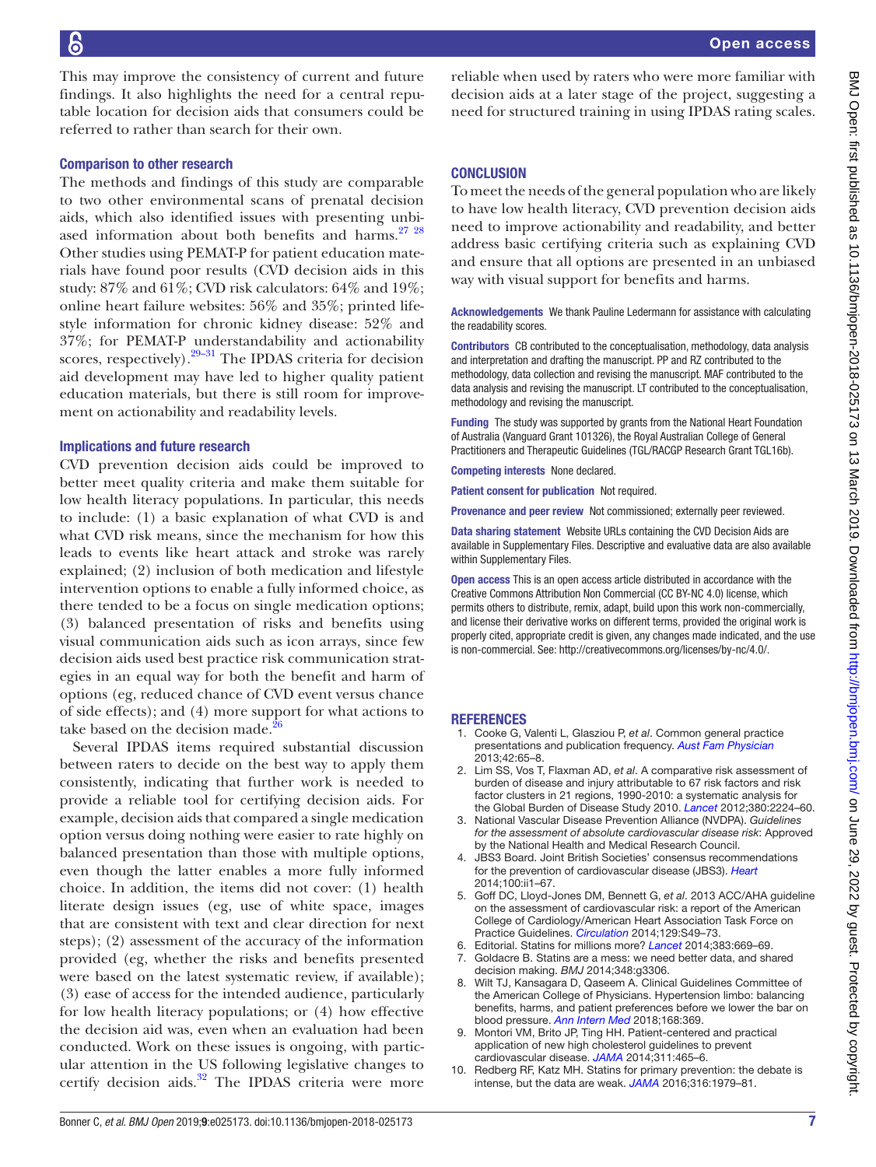Open access

This may improve the consistency of current and future findings. It also highlights the need for a central reputable location for decision aids that consumers could be referred to rather than search for their own.

#### Comparison to other research

The methods and findings of this study are comparable to two other environmental scans of prenatal decision aids, which also identified issues with presenting unbiased information about both benefits and harms.<sup>27</sup> <sup>28</sup> Other studies using PEMAT-P for patient education materials have found poor results (CVD decision aids in this study: 87% and 61%; CVD risk calculators: 64% and 19%; online heart failure websites: 56% and 35%; printed lifestyle information for chronic kidney disease: 52% and 37%; for PEMAT-P understandability and actionability scores, respectively). $29-31$  The IPDAS criteria for decision aid development may have led to higher quality patient education materials, but there is still room for improvement on actionability and readability levels.

#### Implications and future research

CVD prevention decision aids could be improved to better meet quality criteria and make them suitable for low health literacy populations. In particular, this needs to include: (1) a basic explanation of what CVD is and what CVD risk means, since the mechanism for how this leads to events like heart attack and stroke was rarely explained; (2) inclusion of both medication and lifestyle intervention options to enable a fully informed choice, as there tended to be a focus on single medication options; (3) balanced presentation of risks and benefits using visual communication aids such as icon arrays, since few decision aids used best practice risk communication strategies in an equal way for both the benefit and harm of options (eg, reduced chance of CVD event versus chance of side effects); and (4) more support for what actions to take based on the decision made.<sup>2</sup>

Several IPDAS items required substantial discussion between raters to decide on the best way to apply them consistently, indicating that further work is needed to provide a reliable tool for certifying decision aids. For example, decision aids that compared a single medication option versus doing nothing were easier to rate highly on balanced presentation than those with multiple options, even though the latter enables a more fully informed choice. In addition, the items did not cover: (1) health literate design issues (eg, use of white space, images that are consistent with text and clear direction for next steps); (2) assessment of the accuracy of the information provided (eg, whether the risks and benefits presented were based on the latest systematic review, if available); (3) ease of access for the intended audience, particularly for low health literacy populations; or (4) how effective the decision aid was, even when an evaluation had been conducted. Work on these issues is ongoing, with particular attention in the US following legislative changes to certify decision aids.<sup>32</sup> The IPDAS criteria were more

reliable when used by raters who were more familiar with decision aids at a later stage of the project, suggesting a need for structured training in using IPDAS rating scales.

#### **CONCLUSION**

To meet the needs of the general population who are likely to have low health literacy, CVD prevention decision aids need to improve actionability and readability, and better address basic certifying criteria such as explaining CVD and ensure that all options are presented in an unbiased way with visual support for benefits and harms.

Acknowledgements We thank Pauline Ledermann for assistance with calculating the readability scores.

Contributors CB contributed to the conceptualisation, methodology, data analysis and interpretation and drafting the manuscript. PP and RZ contributed to the methodology, data collection and revising the manuscript. MAF contributed to the data analysis and revising the manuscript. LT contributed to the conceptualisation, methodology and revising the manuscript.

Funding The study was supported by grants from the National Heart Foundation of Australia (Vanguard Grant 101326), the Royal Australian College of General Practitioners and Therapeutic Guidelines (TGL/RACGP Research Grant TGL16b).

Competing interests None declared.

Patient consent for publication Not required.

Provenance and peer review Not commissioned; externally peer reviewed.

Data sharing statement Website URLs containing the CVD Decision Aids are available in Supplementary Files. Descriptive and evaluative data are also available within Supplementary Files.

Open access This is an open access article distributed in accordance with the Creative Commons Attribution Non Commercial (CC BY-NC 4.0) license, which permits others to distribute, remix, adapt, build upon this work non-commercially, and license their derivative works on different terms, provided the original work is properly cited, appropriate credit is given, any changes made indicated, and the use is non-commercial. See: [http://creativecommons.org/licenses/by-nc/4.0/.](http://creativecommons.org/licenses/by-nc/4.0/)

#### **REFERENCES**

- <span id="page-6-0"></span>1. Cooke G, Valenti L, Glasziou P, *et al*. Common general practice presentations and publication frequency. *[Aust Fam Physician](http://www.ncbi.nlm.nih.gov/pubmed/23529466)* 2013;42:65–8.
- <span id="page-6-1"></span>2. Lim SS, Vos T, Flaxman AD, *et al*. A comparative risk assessment of burden of disease and injury attributable to 67 risk factors and risk factor clusters in 21 regions, 1990-2010: a systematic analysis for the Global Burden of Disease Study 2010. *[Lancet](http://dx.doi.org/10.1016/S0140-6736(12)61766-8)* 2012;380:2224–60.
- <span id="page-6-2"></span>3. National Vascular Disease Prevention Alliance (NVDPA). *Guidelines for the assessment of absolute cardiovascular disease risk*: Approved by the National Health and Medical Research Council.
- 4. JBS3 Board. Joint British Societies' consensus recommendations for the prevention of cardiovascular disease (JBS3). *[Heart](http://dx.doi.org/10.1136/heartjnl-2014-305693)* 2014;100:ii1–67.
- 5. Goff DC, Lloyd-Jones DM, Bennett G, *et al*. 2013 ACC/AHA guideline on the assessment of cardiovascular risk: a report of the American College of Cardiology/American Heart Association Task Force on Practice Guidelines. *[Circulation](http://dx.doi.org/10.1161/01.cir.0000437741.48606.98)* 2014;129:S49–73.
- <span id="page-6-3"></span>6. Editorial. Statins for millions more? *[Lancet](http://dx.doi.org/10.1016/S0140-6736(14)60240-3)* 2014;383:669–69.
- <span id="page-6-5"></span>7. Goldacre B. Statins are a mess: we need better data, and shared decision making. *BMJ* 2014;348:g3306.
- <span id="page-6-4"></span>8. Wilt TJ, Kansagara D, Qaseem A. Clinical Guidelines Committee of the American College of Physicians. Hypertension limbo: balancing benefits, harms, and patient preferences before we lower the bar on blood pressure. *[Ann Intern Med](http://dx.doi.org/10.7326/M17-3293)* 2018;168:369.
- 9. Montori VM, Brito JP, Ting HH. Patient-centered and practical application of new high cholesterol guidelines to prevent cardiovascular disease. *[JAMA](http://dx.doi.org/10.1001/jama.2014.110)* 2014;311:465–6.
- 10. Redberg RF, Katz MH. Statins for primary prevention: the debate is intense, but the data are weak. *[JAMA](http://dx.doi.org/10.1001/jama.2016.15085)* 2016;316:1979–81.